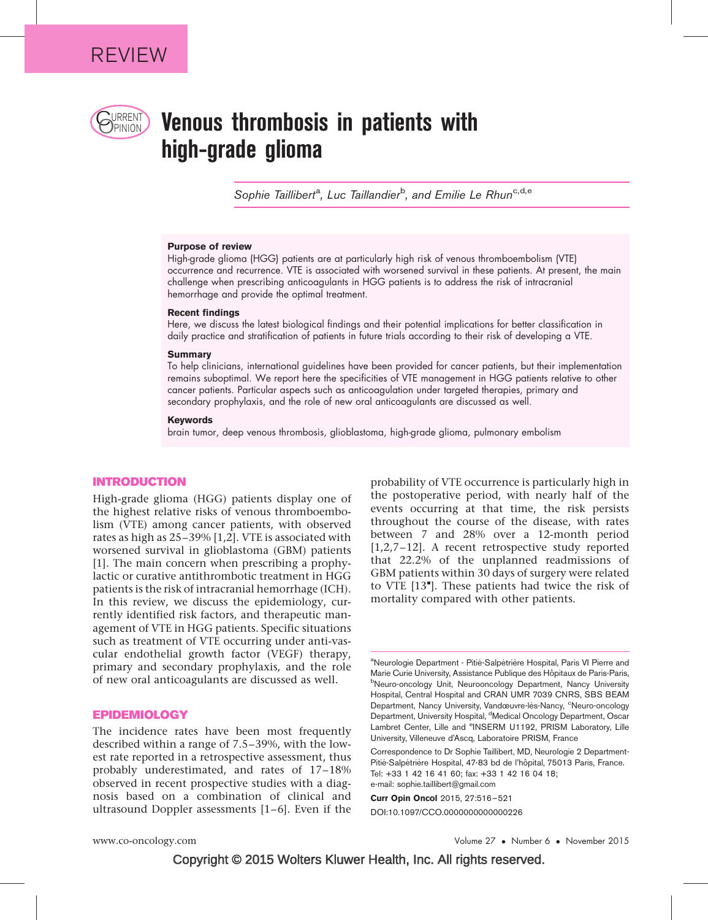

# URRENT **Venous thrombosis in patients with** high-grade glioma

Sophie Taillibert<sup>a</sup>, Luc Taillandier<sup>b</sup>, and Emilie Le Rhun<sup>c,d,e</sup>

#### Purpose of review

High-grade glioma (HGG) patients are at particularly high risk of venous thromboembolism (VTE) occurrence and recurrence. VTE is associated with worsened survival in these patients. At present, the main challenge when prescribing anticoagulants in HGG patients is to address the risk of intracranial hemorrhage and provide the optimal treatment.

#### Recent findings

Here, we discuss the latest biological findings and their potential implications for better classification in daily practice and stratification of patients in future trials according to their risk of developing a VTE.

#### **Summary**

To help clinicians, international guidelines have been provided for cancer patients, but their implementation remains suboptimal. We report here the specificities of VTE management in HGG patients relative to other cancer patients. Particular aspects such as anticoagulation under targeted therapies, primary and secondary prophylaxis, and the role of new oral anticoagulants are discussed as well.

#### Keywords

brain tumor, deep venous thrombosis, glioblastoma, high-grade glioma, pulmonary embolism

#### INTRODUCTION

High-grade glioma (HGG) patients display one of the highest relative risks of venous thromboembolism (VTE) among cancer patients, with observed rates as high as 25–39% [\[1,2\]](#page-4-0). VTE is associated with worsened survival in glioblastoma (GBM) patients [\[1\]](#page-4-0). The main concern when prescribing a prophylactic or curative antithrombotic treatment in HGG patients is the risk of intracranial hemorrhage (ICH). In this review, we discuss the epidemiology, currently identified risk factors, and therapeutic management of VTE in HGG patients. Specific situations such as treatment of VTE occurring under anti-vascular endothelial growth factor (VEGF) therapy, primary and secondary prophylaxis, and the role of new oral anticoagulants are discussed as well.

### EPIDEMIOLOGY

The incidence rates have been most frequently described within a range of 7.5–39%, with the lowest rate reported in a retrospective assessment, thus probably underestimated, and rates of 17–18% observed in recent prospective studies with a diagnosis based on a combination of clinical and ultrasound Doppler assessments [\[1–6\].](#page-4-0) Even if the

probability of VTE occurrence is particularly high in the postoperative period, with nearly half of the events occurring at that time, the risk persists throughout the course of the disease, with rates between 7 and 28% over a 12-month period [\[1,2,7–12\].](#page-4-0) A recent retrospective study reported that 22.2% of the unplanned readmissions of GBM patients within 30 days of surgery were related to VTE [\[13](#page-4-0)"[\].](#page-4-0) These patients had twice the risk of mortality compared with other patients.

Curr Opin Oncol 2015, 27:516–521

DOI:10.1097/CCO.0000000000000226

<sup>&</sup>lt;sup>a</sup>Neurologie Department - Pitié-Salpétrière Hospital, Paris VI Pierre and Marie Curie University, Assistance Publique des Hôpitaux de Paris-Paris, bNeuro-oncology Unit, Neurooncology Department, Nancy University Hospital, Central Hospital and CRAN UMR 7039 CNRS, SBS BEAM Department, Nancy University, Vandœuvre-lès-Nancy, <sup>c</sup>Neuro-oncology Department, University Hospital, <sup>d</sup>Medical Oncology Department, Oscar Lambret Center, Lille and <sup>e</sup>INSERM U1192, PRISM Laboratory, Lille University, Villeneuve d'Ascq, Laboratoire PRISM, France

Correspondence to Dr Sophie Taillibert, MD, Neurologie 2 Department-Pitié-Salpétrière Hospital, 47-83 bd de l'hôpital, 75013 Paris, France. Tel: +33 1 42 16 41 60; fax: +33 1 42 16 04 18; e-mail: [sophie.taillibert@gmail.com](mailto:sophie.taillibert@gmail.com)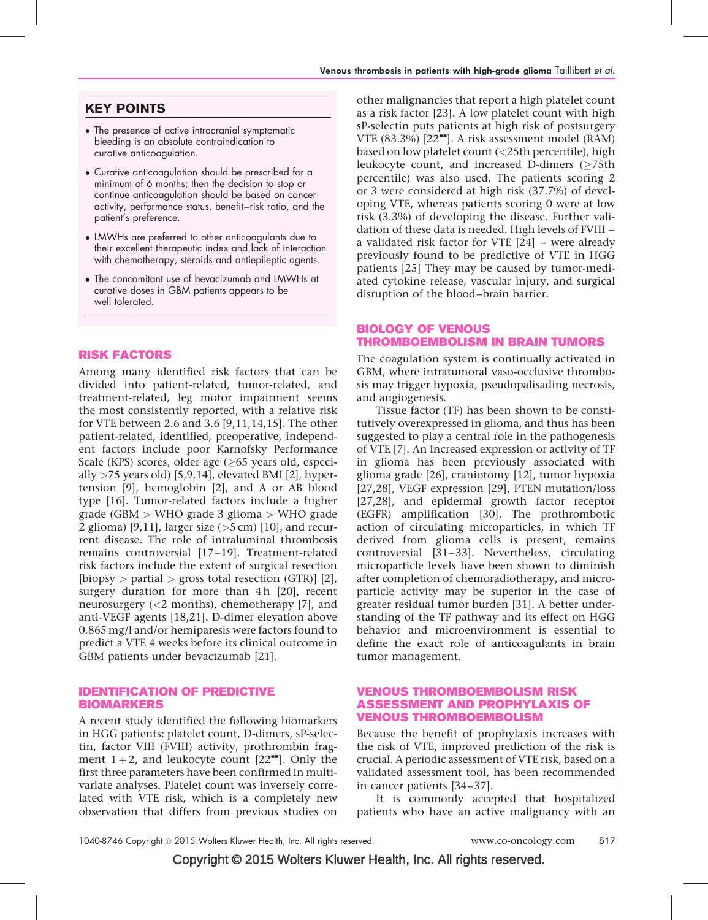## KEY POINTS

- The presence of active intracranial symptomatic bleeding is an absolute contraindication to curative anticoagulation.
- Curative anticoagulation should be prescribed for a minimum of 6 months; then the decision to stop or continue anticoagulation should be based on cancer activity, performance status, benefit–risk ratio, and the patient's preference.
- LMWHs are preferred to other anticoagulants due to their excellent therapeutic index and lack of interaction with chemotherapy, steroids and antiepileptic agents.
- The concomitant use of bevacizumab and LMWHs at curative doses in GBM patients appears to be well tolerated.

## RISK FACTORS

Among many identified risk factors that can be divided into patient-related, tumor-related, and treatment-related, leg motor impairment seems the most consistently reported, with a relative risk for VTE between 2.6 and 3.6 [\[9,11,14,15\]](#page-4-0). The other patient-related, identified, preoperative, independent factors include poor Karnofsky Performance Scale (KPS) scores, older age ( $\geq$ 65 years old, especially  $>75$  years old) [\[5,9,14\]](#page-4-0), elevated BMI [\[2\]](#page-4-0), hypertension [\[9\],](#page-4-0) hemoglobin [\[2\]](#page-4-0), and A or AB blood type [\[16\]](#page-4-0). Tumor-related factors include a higher grade (GBM > WHO grade 3 glioma > WHO grade 2 glioma) [\[9,11\],](#page-4-0) larger size  $(>5 \text{ cm})$  [\[10\],](#page-4-0) and recurrent disease. The role of intraluminal thrombosis remains controversial [\[17–19\]](#page-4-0). Treatment-related risk factors include the extent of surgical resection [biopsy > partial > gross total resection (GTR)] [\[2\]](#page-4-0), surgery duration for more than  $4h$  [\[20\]](#page-4-0), recent neurosurgery (<2 months), chemotherapy [\[7\],](#page-4-0) and anti-VEGF agents [\[18,21\].](#page-4-0) D-dimer elevation above 0.865 mg/l and/or hemiparesis were factors found to predict a VTE 4 weeks before its clinical outcome in GBM patients under bevacizumab [\[21\]](#page-4-0).

## IDENTIFICATION OF PREDICTIVE BIOMARKERS

A recent study identified the following biomarkers in HGG patients: platelet count, D-dimers, sP-selectin, factor VIII (FVIII) activity, prothrombin fragment  $1+2$ , and leukocyte count  $[22^{\bullet\bullet}]$  $[22^{\bullet\bullet}]$  $[22^{\bullet\bullet}]$ . Only the first three parameters have been confirmed in multivariate analyses. Platelet count was inversely correlated with VTE risk, which is a completely new observation that differs from previous studies on

other malignancies that report a high platelet count as a risk factor [\[23\]](#page-4-0). A low platelet count with high sP-selectin puts patients at high risk of postsurgery VTE  $(83.3\%)$   $[22$ <sup> $\text{...}$ </sup>. A risk assessment model  $(RAM)$ based on low platelet count (<25th percentile), high leukocyte count, and increased D-dimers ( $\geq$ 75th percentile) was also used. The patients scoring 2 or 3 were considered at high risk (37.7%) of developing VTE, whereas patients scoring 0 were at low risk (3.3%) of developing the disease. Further validation of these data is needed. High levels of FVIII – a validated risk factor for VTE [\[24\]](#page-4-0) – were already previously found to be predictive of VTE in HGG patients [\[25\]](#page-4-0) They may be caused by tumor-mediated cytokine release, vascular injury, and surgical disruption of the blood–brain barrier.

## BIOLOGY OF VENOUS THROMBOEMBOLISM IN BRAIN TUMORS

The coagulation system is continually activated in GBM, where intratumoral vaso-occlusive thrombosis may trigger hypoxia, pseudopalisading necrosis, and angiogenesis.

Tissue factor (TF) has been shown to be constitutively overexpressed in glioma, and thus has been suggested to play a central role in the pathogenesis of VTE [\[7\].](#page-4-0) An increased expression or activity of TF in glioma has been previously associated with glioma grade [\[26\],](#page-4-0) craniotomy [\[12\],](#page-4-0) tumor hypoxia [\[27,28\]](#page-4-0), VEGF expression [\[29\],](#page-4-0) PTEN mutation/loss [\[27,28\]](#page-4-0), and epidermal growth factor receptor (EGFR) amplification [\[30\]](#page-4-0). The prothrombotic action of circulating microparticles, in which TF derived from glioma cells is present, remains controversial [\[31–33\].](#page-4-0) Nevertheless, circulating microparticle levels have been shown to diminish after completion of chemoradiotherapy, and microparticle activity may be superior in the case of greater residual tumor burden [\[31\].](#page-4-0) A better understanding of the TF pathway and its effect on HGG behavior and microenvironment is essential to define the exact role of anticoagulants in brain tumor management.

## VENOUS THROMBOEMBOLISM RISK ASSESSMENT AND PROPHYLAXIS OF VENOUS THROMBOEMBOLISM

Because the benefit of prophylaxis increases with the risk of VTE, improved prediction of the risk is crucial. A periodic assessment of VTE risk, based on a validated assessment tool, has been recommended in cancer patients [\[34–37\]](#page-5-0).

It is commonly accepted that hospitalized patients who have an active malignancy with an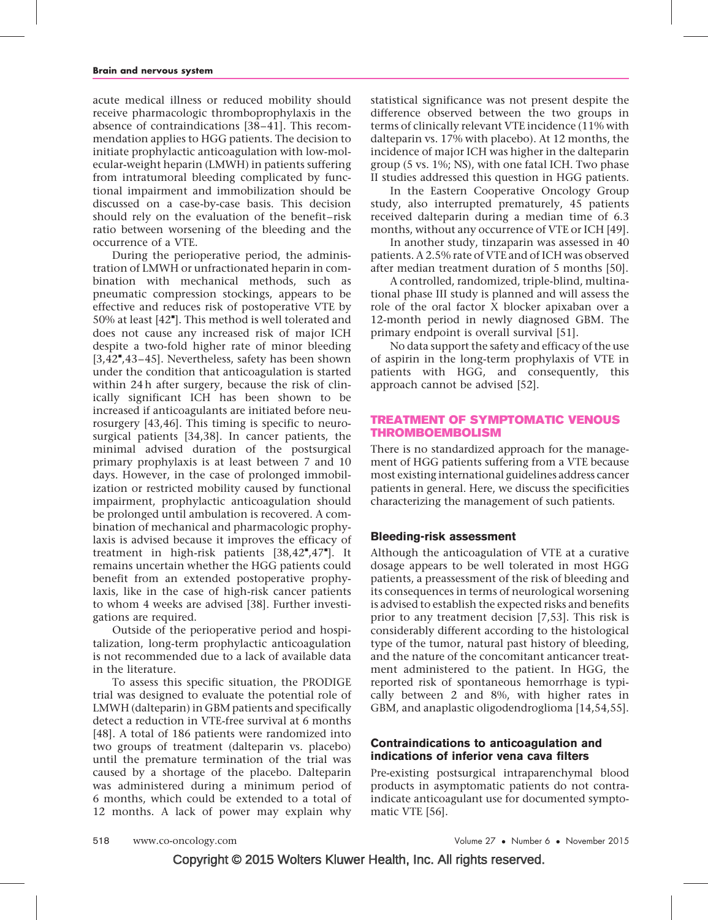acute medical illness or reduced mobility should receive pharmacologic thromboprophylaxis in the absence of contraindications [\[38–41\].](#page-5-0) This recommendation applies to HGG patients. The decision to initiate prophylactic anticoagulation with low-molecular-weight heparin (LMWH) in patients suffering from intratumoral bleeding complicated by functional impairment and immobilization should be discussed on a case-by-case basis. This decision should rely on the evaluation of the benefit–risk ratio between worsening of the bleeding and the occurrence of a VTE.

During the perioperative period, the administration of LMWH or unfractionated heparin in combination with mechanical methods, such as pneumatic compression stockings, appears to be effective and reduces risk of postoperative VTE by 50% at least [\[42](#page-5-0)"[\]](#page-5-0). This method is well tolerated and does not cause any increased risk of major ICH despite a two-fold higher rate of minor bleeding [\[3,42](#page-4-0)",43-45]. Nevertheless, safety has been shown under the condition that anticoagulation is started within 24 h after surgery, because the risk of clinically significant ICH has been shown to be increased if anticoagulants are initiated before neurosurgery [\[43,46\].](#page-5-0) This timing is specific to neurosurgical patients [\[34,38\].](#page-5-0) In cancer patients, the minimal advised duration of the postsurgical primary prophylaxis is at least between 7 and 10 days. However, in the case of prolonged immobilization or restricted mobility caused by functional impairment, prophylactic anticoagulation should be prolonged until ambulation is recovered. A combination of mechanical and pharmacologic prophylaxis is advised because it improves the efficacy of treatment in high-risk patients  $[38, 42^{\bullet}, 47^{\bullet}]$ . It remains uncertain whether the HGG patients could benefit from an extended postoperative prophylaxis, like in the case of high-risk cancer patients to whom 4 weeks are advised [\[38\]](#page-5-0). Further investigations are required.

Outside of the perioperative period and hospitalization, long-term prophylactic anticoagulation is not recommended due to a lack of available data in the literature.

To assess this specific situation, the PRODIGE trial was designed to evaluate the potential role of LMWH (dalteparin) in GBM patients and specifically detect a reduction in VTE-free survival at 6 months [\[48\].](#page-5-0) A total of 186 patients were randomized into two groups of treatment (dalteparin vs. placebo) until the premature termination of the trial was caused by a shortage of the placebo. Dalteparin was administered during a minimum period of 6 months, which could be extended to a total of 12 months. A lack of power may explain why

statistical significance was not present despite the difference observed between the two groups in terms of clinically relevant VTE incidence (11% with dalteparin vs. 17% with placebo). At 12 months, the incidence of major ICH was higher in the dalteparin group (5 vs. 1%; NS), with one fatal ICH. Two phase II studies addressed this question in HGG patients.

In the Eastern Cooperative Oncology Group study, also interrupted prematurely, 45 patients received dalteparin during a median time of 6.3 months, without any occurrence of VTE or ICH [\[49\]](#page-5-0).

In another study, tinzaparin was assessed in 40 patients. A 2.5% rate of VTE and of ICH was observed after median treatment duration of 5 months [\[50\]](#page-5-0).

A controlled, randomized, triple-blind, multinational phase III study is planned and will assess the role of the oral factor X blocker apixaban over a 12-month period in newly diagnosed GBM. The primary endpoint is overall survival [\[51\].](#page-5-0)

No data support the safety and efficacy of the use of aspirin in the long-term prophylaxis of VTE in patients with HGG, and consequently, this approach cannot be advised [\[52\].](#page-5-0)

## TREATMENT OF SYMPTOMATIC VENOUS THROMBOEMBOLISM

There is no standardized approach for the management of HGG patients suffering from a VTE because most existing international guidelines address cancer patients in general. Here, we discuss the specificities characterizing the management of such patients.

## Bleeding-risk assessment

Although the anticoagulation of VTE at a curative dosage appears to be well tolerated in most HGG patients, a preassessment of the risk of bleeding and its consequences in terms of neurological worsening is advised to establish the expected risks and benefits prior to any treatment decision [\[7,53\].](#page-4-0) This risk is considerably different according to the histological type of the tumor, natural past history of bleeding, and the nature of the concomitant anticancer treatment administered to the patient. In HGG, the reported risk of spontaneous hemorrhage is typically between 2 and 8%, with higher rates in GBM, and anaplastic oligodendroglioma [\[14,54,55\].](#page-4-0)

## Contraindications to anticoagulation and indications of inferior vena cava filters

Pre-existing postsurgical intraparenchymal blood products in asymptomatic patients do not contraindicate anticoagulant use for documented symptomatic VTE [\[56\].](#page-5-0)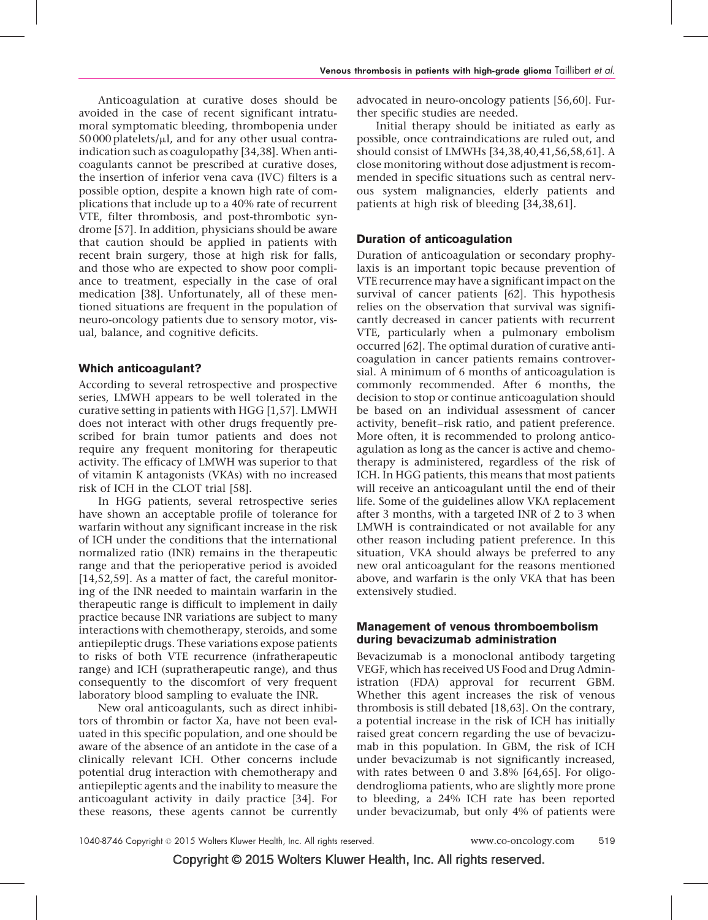Anticoagulation at curative doses should be avoided in the case of recent significant intratumoral symptomatic bleeding, thrombopenia under 50 000 platelets/*m*l, and for any other usual contraindication such as coagulopathy [\[34,38\].](#page-5-0) When anticoagulants cannot be prescribed at curative doses, the insertion of inferior vena cava (IVC) filters is a possible option, despite a known high rate of complications that include up to a 40% rate of recurrent VTE, filter thrombosis, and post-thrombotic syndrome [\[57\].](#page-5-0) In addition, physicians should be aware that caution should be applied in patients with recent brain surgery, those at high risk for falls, and those who are expected to show poor compliance to treatment, especially in the case of oral medication [\[38\]](#page-5-0). Unfortunately, all of these mentioned situations are frequent in the population of neuro-oncology patients due to sensory motor, visual, balance, and cognitive deficits.

## Which anticoagulant?

According to several retrospective and prospective series, LMWH appears to be well tolerated in the curative setting in patients with HGG [\[1,57\]](#page-4-0). LMWH does not interact with other drugs frequently prescribed for brain tumor patients and does not require any frequent monitoring for therapeutic activity. The efficacy of LMWH was superior to that of vitamin K antagonists (VKAs) with no increased risk of ICH in the CLOT trial [\[58\]](#page-5-0).

In HGG patients, several retrospective series have shown an acceptable profile of tolerance for warfarin without any significant increase in the risk of ICH under the conditions that the international normalized ratio (INR) remains in the therapeutic range and that the perioperative period is avoided [\[14,52,59\].](#page-4-0) As a matter of fact, the careful monitoring of the INR needed to maintain warfarin in the therapeutic range is difficult to implement in daily practice because INR variations are subject to many interactions with chemotherapy, steroids, and some antiepileptic drugs. These variations expose patients to risks of both VTE recurrence (infratherapeutic range) and ICH (supratherapeutic range), and thus consequently to the discomfort of very frequent laboratory blood sampling to evaluate the INR.

New oral anticoagulants, such as direct inhibitors of thrombin or factor Xa, have not been evaluated in this specific population, and one should be aware of the absence of an antidote in the case of a clinically relevant ICH. Other concerns include potential drug interaction with chemotherapy and antiepileptic agents and the inability to measure the anticoagulant activity in daily practice [\[34\]](#page-5-0). For these reasons, these agents cannot be currently advocated in neuro-oncology patients [\[56,60\]](#page-5-0). Further specific studies are needed.

Initial therapy should be initiated as early as possible, once contraindications are ruled out, and should consist of LMWHs [\[34,38,40,41,56,58,61\]](#page-5-0). A close monitoring without dose adjustment is recommended in specific situations such as central nervous system malignancies, elderly patients and patients at high risk of bleeding [\[34,38,61\]](#page-5-0).

## Duration of anticoagulation

Duration of anticoagulation or secondary prophylaxis is an important topic because prevention of VTE recurrence may have a significant impact on the survival of cancer patients [\[62\]](#page-5-0). This hypothesis relies on the observation that survival was significantly decreased in cancer patients with recurrent VTE, particularly when a pulmonary embolism occurred [\[62\].](#page-5-0) The optimal duration of curative anticoagulation in cancer patients remains controversial. A minimum of 6 months of anticoagulation is commonly recommended. After 6 months, the decision to stop or continue anticoagulation should be based on an individual assessment of cancer activity, benefit–risk ratio, and patient preference. More often, it is recommended to prolong anticoagulation as long as the cancer is active and chemotherapy is administered, regardless of the risk of ICH. In HGG patients, this means that most patients will receive an anticoagulant until the end of their life. Some of the guidelines allow VKA replacement after 3 months, with a targeted INR of 2 to 3 when LMWH is contraindicated or not available for any other reason including patient preference. In this situation, VKA should always be preferred to any new oral anticoagulant for the reasons mentioned above, and warfarin is the only VKA that has been extensively studied.

## Management of venous thromboembolism during bevacizumab administration

Bevacizumab is a monoclonal antibody targeting VEGF, which has received US Food and Drug Administration (FDA) approval for recurrent GBM. Whether this agent increases the risk of venous thrombosis is still debated [\[18,63\]](#page-4-0). On the contrary, a potential increase in the risk of ICH has initially raised great concern regarding the use of bevacizumab in this population. In GBM, the risk of ICH under bevacizumab is not significantly increased, with rates between 0 and 3.8% [\[64,65\].](#page-5-0) For oligodendroglioma patients, who are slightly more prone to bleeding, a 24% ICH rate has been reported under bevacizumab, but only 4% of patients were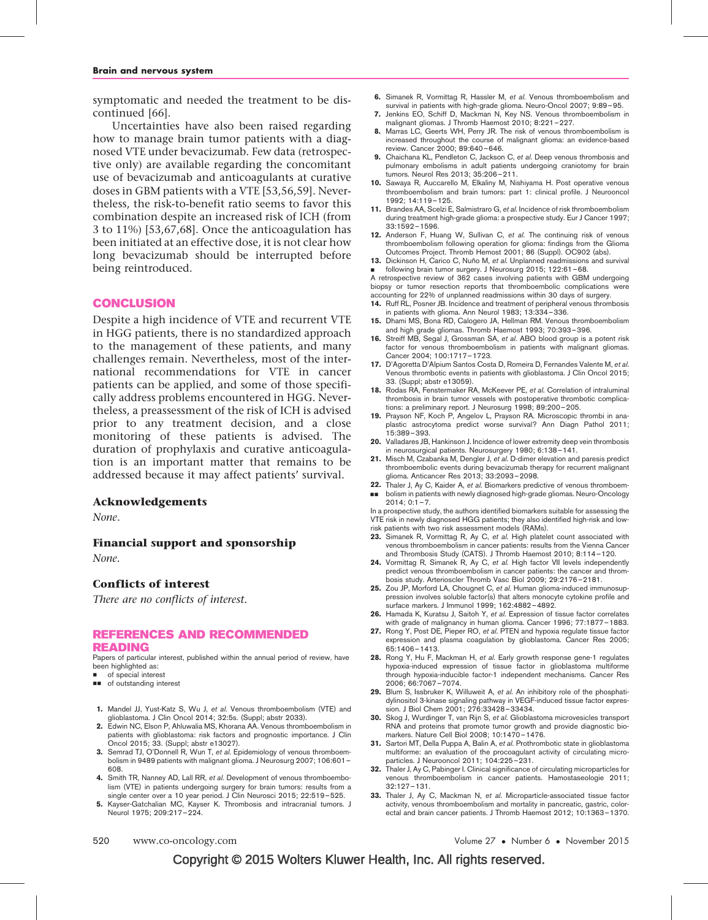<span id="page-4-0"></span>symptomatic and needed the treatment to be discontinued [\[66\]](#page-5-0).

Uncertainties have also been raised regarding how to manage brain tumor patients with a diagnosed VTE under bevacizumab. Few data (retrospective only) are available regarding the concomitant use of bevacizumab and anticoagulants at curative doses in GBM patients with a VTE [\[53,56,59\]](#page-5-0). Nevertheless, the risk-to-benefit ratio seems to favor this combination despite an increased risk of ICH (from 3 to 11%) [\[53,67,68\].](#page-5-0) Once the anticoagulation has been initiated at an effective dose, it is not clear how long bevacizumab should be interrupted before being reintroduced.

#### **CONCLUSION**

Despite a high incidence of VTE and recurrent VTE in HGG patients, there is no standardized approach to the management of these patients, and many challenges remain. Nevertheless, most of the international recommendations for VTE in cancer patients can be applied, and some of those specifically address problems encountered in HGG. Nevertheless, a preassessment of the risk of ICH is advised prior to any treatment decision, and a close monitoring of these patients is advised. The duration of prophylaxis and curative anticoagulation is an important matter that remains to be addressed because it may affect patients' survival.

#### Acknowledgements

None.

#### Financial support and sponsorship

None.

### Conflicts of interest

There are no conflicts of interest.

### REFERENCES AND RECOMMENDED READING

Papers of particular interest, published within the annual period of review, have been highlighted as:

- of special interest
- $\blacksquare$  of outstanding interest
- 1. Mandel JJ, Yust-Katz S, Wu J, et al. Venous thromboembolism (VTE) and glioblastoma. J Clin Oncol 2014; 32:5s. (Suppl; abstr 2033).
- 2. Edwin NC, Elson P, Ahluwalia MS, Khorana AA. Venous thromboembolism in patients with glioblastoma: risk factors and prognostic importance. J Clin Oncol 2015; 33. (Suppl; abstr e13027).
- 3. Semrad TJ, O'Donnell R, Wun T, et al. Epidemiology of venous thromboembolism in 9489 patients with malignant glioma. J Neurosurg 2007; 106:601– 608.
- 4. Smith TR, Nanney AD, Lall RR, et al. Development of venous thromboembolism (VTE) in patients undergoing surgery for brain tumors: results from a single center over a 10 year period. J Clin Neurosci 2015; 22:519–525.
- 5. Kayser-Gatchalian MC, Kayser K. Thrombosis and intracranial tumors. J Neurol 1975; 209:217–224.
- 6. Simanek R, Vormittag R, Hassler M, et al. Venous thromboembolism and survival in patients with high-grade glioma. Neuro-Oncol 2007; 9:89–95.
- 7. Jenkins EO, Schiff D, Mackman N, Key NS. Venous thromboembolism in malignant gliomas. J Thromb Haemost 2010; 8:221–227.
- 8. Marras LC, Geerts WH, Perry JR. The risk of venous thromboembolism is increased throughout the course of malignant glioma: an evidence-based review. Cancer 2000; 89:640–646.
- 9. Chaichana KL, Pendleton C, Jackson C, et al. Deep venous thrombosis and pulmonary embolisms in adult patients undergoing craniotomy for brain tumors. Neurol Res 2013; 35:206–211.
- 10. Sawaya R, Auccarello M, Elkaliny M, Nishiyama H. Post operative venous thromboembolism and brain tumors: part 1: clinical profile. J Neurooncol 1992; 14:119–125.
- 11. Brandes AA, Scelzi E, Salmistraro G, et al. Incidence of risk thromboembolism during treatment high-grade glioma: a prospective study. Eur J Cancer 1997; 33:1592–1596.
- 12. Anderson F, Huang W, Sullivan C, et al. The continuing risk of venous thromboembolism following operation for glioma: findings from the Glioma Outcomes Project. Thromb Hemost 2001; 86 (Suppl). OC902 (abs).
- 13. Dickinson H, Carico C, Nuño M, et al. Unplanned readmissions and survival & following brain tumor surgery. J Neurosurg 2015; 122:61–68.
- A retrospective review of 362 cases involving patients with GBM undergoing biopsy or tumor resection reports that thromboembolic complications were accounting for 22% of unplanned readmissions within 30 days of surgery.
- 14. Ruff RL, Posner JB. Incidence and treatment of peripheral venous thrombosis in patients with glioma. Ann Neurol 1983; 13:334–336.
- 15. Dhami MS, Bona RD, Calogero JA, Hellman RM. Venous thromboembolism and high grade gliomas. Thromb Haemost 1993; 70:393–396.
- 16. Streiff MB, Segal J, Grossman SA, et al. ABO blood group is a potent risk factor for venous thromboembolism in patients with malignant gliomas. Cancer 2004; 100:1717–1723.
- 17. D'Agoretta D'Alpium Santos Costa D, Romeira D, Fernandes Valente M, et al. Venous thrombotic events in patients with glioblastoma. J Clin Oncol 2015; 33. (Suppl; abstr e13059).
- 18. Rodas RA, Fenstermaker RA, McKeever PE, et al. Correlation of intraluminal thrombosis in brain tumor vessels with postoperative thrombotic complications: a preliminary report. J Neurosurg 1998; 89:200–205.
- 19. Prayson NF, Koch P, Angelov L, Prayson RA. Microscopic thrombi in anaplastic astrocytoma predict worse survival? Ann Diagn Pathol 2011; 15:389–393.
- 20. Valladares JB, Hankinson J. Incidence of lower extremity deep vein thrombosis in neurosurgical patients. Neurosurgery 1980; 6:138–141.
- 21. Misch M, Czabanka M, Dengler J, et al. D-dimer elevation and paresis predict thromboembolic events during bevacizumab therapy for recurrent malignant glioma. Anticancer Res 2013; 33:2093–2098.
- 22. Thaler J, Ay C, Kaider A, et al. Biomarkers predictive of venous thromboem-&& bolism in patients with newly diagnosed high-grade gliomas. Neuro-Oncology

 $2014:0:1-7.$ In a prospective study, the authors identified biomarkers suitable for assessing the

VTE risk in newly diagnosed HGG patients; they also identified high-risk and lowrisk patients with two risk assessment models (RAMs).

- 23. Simanek R, Vormittag R, Ay C, et al. High platelet count associated with venous thromboembolism in cancer patients: results from the Vienna Cancer and Thrombosis Study (CATS). J Thromb Haemost 2010; 8:114–120.
- 24. Vormittag R, Simanek R, Ay C, et al. High factor VII levels independently predict venous thromboembolism in cancer patients: the cancer and thrombosis study. Arterioscler Thromb Vasc Biol 2009; 29:2176–2181.
- 25. Zou JP, Morford LA, Chougnet C, et al. Human glioma-induced immunosuppression involves soluble factor(s) that alters monocyte cytokine profile and surface markers. J Immunol 1999; 162:4882–4892.
- 26. Hamada K, Kuratsu J, Saitoh Y, et al. Expression of tissue factor correlates with grade of malignancy in human glioma. Cancer 1996; 77:1877–1883.
- 27. Rong Y, Post DE, Pieper RO, et al. PTEN and hypoxia regulate tissue factor expression and plasma coagulation by glioblastoma. Cancer Res 2005; 65:1406–1413.
- 28. Rong Y, Hu F, Mackman H, et al. Early growth response gene-1 regulates hypoxia-induced expression of tissue factor in glioblastoma multiforme through hypoxia-inducible factor-1 independent mechanisms. Cancer Res 2006; 66:7067–7074.
- 29. Blum S, Issbruker K, Willuweit A, et al. An inhibitory role of the phosphatidylinositol 3-kinase signaling pathway in VEGF-induced tissue factor expression. J Biol Chem 2001; 276:33428–33434.
- 30. Skog J, Wurdinger T, van Rijn S, et al. Glioblastoma microvesicles transport RNA and proteins that promote tumor growth and provide diagnostic biomarkers. Nature Cell Biol 2008; 10:1470–1476.
- 31. Sartori MT, Della Puppa A, Balin A, et al. Prothrombotic state in glioblastoma multiforme: an evaluation of the procoagulant activity of circulating microparticles. J Neurooncol 2011; 104:225–231.
- 32. Thaler J, Ay C, Pabinger I. Clinical significance of circulating microparticles for venous thromboembolism in cancer patients. Hamostaseologie 2011; 32:127–131.
- 33. Thaler J, Ay C, Mackman N, et al. Microparticle-associated tissue factor activity, venous thromboembolism and mortality in pancreatic, gastric, colorectal and brain cancer patients. J Thromb Haemost 2012; 10:1363–1370.

520 www.co-oncology.com Volume 27 Number 6 November 2015